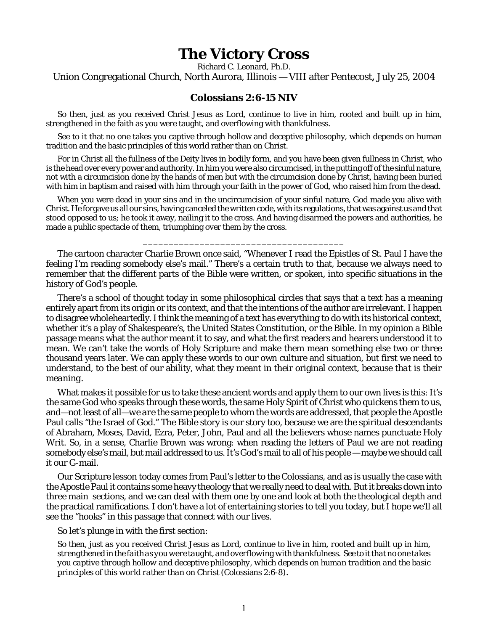## **The Victory Cross**

Richard C. Leonard, Ph.D. Union Congregational Church, North Aurora, Illinois — VIII after Pentecost**,** July 25, 2004

## **Colossians 2:6-15 NIV**

So then, just as you received Christ Jesus as Lord, continue to live in him, rooted and built up in him, strengthened in the faith as you were taught, and overflowing with thankfulness.

See to it that no one takes you captive through hollow and deceptive philosophy, which depends on human tradition and the basic principles of this world rather than on Christ.

For in Christ all the fullness of the Deity lives in bodily form, and you have been given fullness in Christ, who is the head over every power and authority. In him you were also circumcised, in the putting off of the sinful nature, not with a circumcision done by the hands of men but with the circumcision done by Christ, having been buried with him in baptism and raised with him through your faith in the power of God, who raised him from the dead.

When you were dead in your sins and in the uncircumcision of your sinful nature, God made you alive with Christ. He forgave us all our sins, having canceled the written code, with its regulations, that was against us and that stood opposed to us; he took it away, nailing it to the cross. And having disarmed the powers and authorities, he made a public spectacle of them, triumphing over them by the cross.

\_\_\_\_\_\_\_\_\_\_\_\_\_\_\_\_\_\_\_\_\_\_\_\_\_\_\_\_\_\_\_\_\_\_\_\_\_\_\_

The cartoon character Charlie Brown once said, "Whenever I read the Epistles of St. Paul I have the feeling I'm reading somebody else's mail." There's a certain truth to that, because we always need to remember that the different parts of the Bible were written, or spoken, into specific situations in the history of God's people.

There's a school of thought today in some philosophical circles that says that a text has a meaning entirely apart from its origin or its context, and that the intentions of the author are irrelevant. I happen to disagree wholeheartedly. I think the meaning of a text has *everything* to do with its historical context, whether it's a play of Shakespeare's, the United States Constitution, or the Bible. In my opinion a Bible passage means what the author *meant* it to say, and what the first readers and hearers *understood* it to mean. We can't take the words of Holy Scripture and make them mean something else two or three thousand years later. We can apply these words to our own culture and situation, but first we need to understand, to the best of our ability, what they meant in their original context, because *that is their meaning*.

What makes it possible for us to take these ancient words and apply them to our own lives is this: It's the same God who speaks through these words, the same Holy Spirit of Christ who quickens them to us, and—not least of all—*we are the same people* to whom the words are addressed, that people the Apostle Paul calls "the Israel of God." The Bible story is our story too, because we are the spiritual descendants of Abraham, Moses, David, Ezra, Peter, John, Paul and all the believers whose names punctuate Holy Writ. So, in a sense, Charlie Brown was wrong: when reading the letters of Paul we are not reading somebody else's mail, but mail addressed to us. It's God's mail to all of his people — maybe we should call it our G-mail.

Our Scripture lesson today comes from Paul's letter to the Colossians, and as is usually the case with the Apostle Paul it contains some heavy theology that we really need to deal with. But it breaks down into three main sections, and we can deal with them one by one and look at both the theological depth and the practical ramifications. I don't have a lot of entertaining stories to tell you today, but I hope we'll all see the "hooks" in this passage that connect with our lives.

So let's plunge in with the first section:

*So then, just as you received Christ Jesus as Lord, continue to live in him, rooted and built up in him, strengthened in the faith as you were taught, and overflowing with thankfulness. See to it that no one takes you captive through hollow and deceptive philosophy, which depends on human tradition and the basic principles of this world rather than on Christ* (Colossians 2:6-8).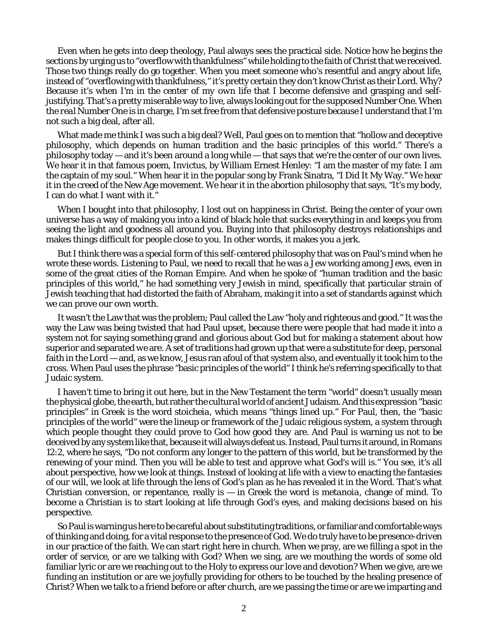Even when he gets into deep theology, Paul always sees the practical side. Notice how he begins the sections by urging us to "overflow with thankfulness" while holding to the faith of Christ that we received. Those two things really do go together. When you meet someone who's resentful and angry about life, instead of "overflowing with thankfulness," it's pretty certain they don't know Christ as their Lord. Why? Because it's when *I'm in the center of my own life* that I become defensive and grasping and selfjustifying. That's a pretty miserable way to live, always looking out for the supposed Number One. When the *real* Number One is in charge, I'm set free from that defensive posture because I understand that I'm not such a big deal, after all.

What made me think I was such a big deal? Well, Paul goes on to mention that "hollow and deceptive philosophy, which depends on human tradition and the basic principles of this world." There's a philosophy today — and it's been around a long while — that says that we're the center of our own lives. We hear it in that famous poem, *Invictus*, by William Ernest Henley: "I am the master of my fate: I am the captain of my soul." When hear it in the popular song by Frank Sinatra, "I Did It My Way." We hear it in the creed of the New Age movement. We hear it in the abortion philosophy that says, "It's my body, I can do what I want with it."

When I bought into that philosophy, I lost out on happiness in Christ. Being the center of your own universe has a way of making you into a kind of black hole that sucks everything in and keeps you from seeing the light and goodness all around you. Buying into that philosophy destroys relationships and makes things difficult for people close to you. In other words, it makes you a jerk.

But I think there was a special form of this self-centered philosophy that was on Paul's mind when he wrote these words. Listening to Paul, we need to recall that he was a Jew working among Jews, even in some of the great cities of the Roman Empire. And when he spoke of "human tradition and the basic principles of this world," he had something very Jewish in mind, specifically that particular strain of Jewish teaching that had distorted the faith of Abraham, making it into a set of standards against which we can prove our own worth.

It wasn't the Law that was the problem; Paul called the Law "holy and righteous and good." It was the way the Law was being twisted that had Paul upset, because there were people that had made it into a system not for saying something grand and glorious about God but for making a statement about how superior and separated *we* are. A set of traditions had grown up that were a substitute for deep, personal faith in the Lord — and, as we know, Jesus ran afoul of that system also, and eventually it took him to the cross. When Paul uses the phrase "basic principles of the world" I think he's referring specifically to that Judaic system.

I haven't time to bring it out here, but in the New Testament the term "world" doesn't usually mean the physical globe, the earth, but rather the *cultural world* of ancient Judaism. And this expression "basic principles" in Greek is the word *stoicheia*, which means "things lined up." For Paul, then, the "basic principles of the world" were the lineup or framework of the Judaic religious system, a system through which people thought they could prove to God how good *they* are. And Paul is warning us not to be deceived by any system like that, because it will always defeat us. Instead, Paul turns it around, in Romans 12:2, where he says, "Do not conform any longer to the pattern of this world, but be transformed by the renewing of your mind. Then you will be able to test and approve *what God's will is*." You see, it's all about perspective, how we look at things. Instead of looking at life with a view to enacting the fantasies of *our* will, we look at life through the lens of God's plan as he has revealed it in the Word. That's what Christian conversion, or repentance, really is — in Greek the word is *metanoia*, change of mind. To become a Christian is to start looking at life through God's eyes, and making decisions based on his perspective.

So Paul is warning us here to be careful about substituting traditions, or familiar and comfortable ways of thinking and doing, for a vital response to the presence of God. We do truly have to be *presence-driven* in our practice of the faith. We can start right here in church. When we pray, are we filling a spot in the order of service, or are we talking with God? When we sing, are we mouthing the words of some old familiar lyric or are we reaching out to the Holy to express our love and devotion? When we give, are we funding an institution or are we joyfully providing for others to be touched by the healing presence of Christ? When we talk to a friend before or after church, are we passing the time or are we imparting and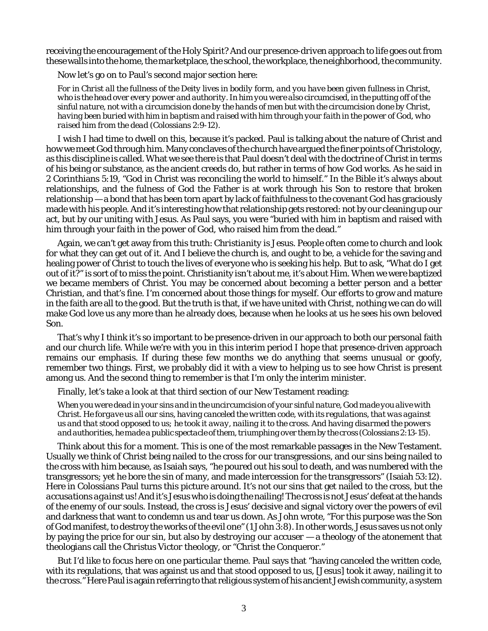receiving the encouragement of the Holy Spirit? And our *presence-driven* approach to life goes out from these walls into the home, the marketplace, the school, the workplace, the neighborhood, the community.

Now let's go on to Paul's second major section here:

*For in Christ all the fullness of the Deity lives in bodily form, and you have been given fullness in Christ, who is the head over every power and authority. In him you were also circumcised, in the putting off of the sinful nature, not with a circumcision done by the hands of men but with the circumcision done by Christ, having been buried with him in baptism and raised with him through your faith in the power of God, who raised him from the dead* (Colossians 2:9-12)*.*

I wish I had time to dwell on this, because it's packed. Paul is talking about the nature of Christ and how we meet God through him. Many conclaves of the church have argued the finer points of Christology, as this discipline is called. What we see there is that Paul doesn't deal with the doctrine of Christ in terms of his being or substance, as the ancient creeds do, but rather in terms of *how God works.* As he said in 2 Corinthians 5:19, "God in Christ was reconciling the world to himself." In the Bible it's always about relationships, and the fulness of God the Father is at work through his Son to restore that broken relationship — a bond that has been torn apart by lack of faithfulness to the covenant God has graciously made with his people. And it's interesting how that relationship gets restored: not by our cleaning up our act, but by our *uniting with Jesus.* As Paul says, you were "buried with him in baptism and raised with him through your faith in the power of God, who raised him from the dead."

Again, we can't get away from this truth: *Christianity is Jesus.* People often come to church and look for what they can get out of it. And I believe the church is, and ought to be, a vehicle for the saving and healing power of Christ to touch the lives of everyone who is seeking his help. But to ask, "What do I get out of it?" is sort of to miss the point. Christianity isn't about *me*, it's about *Him*. When we were baptized we became members of Christ. You may be concerned about becoming a better person and a better Christian, and that's fine. I'm concerned about those things for myself. Our efforts to grow and mature in the faith are all to the good. But the truth is that, if we have united with Christ, nothing we can do will make God love us any more than he already does, because when he looks at us he sees his own beloved Son.

That's why I think it's so important to be presence-driven in our approach to both our personal faith and our church life. While we're with you in this interim period I hope that *presence-driven* approach remains our emphasis. If during these few months we do anything that seems unusual or goofy, remember two things. First, we probably did it with a view to helping us to see how Christ is *present* among us. And the second thing to remember is that I'm only the interim minister.

Finally, let's take a look at that third section of our New Testament reading:

*When you were dead in your sins and in the uncircumcision of your sinful nature, God made you alive with Christ. He forgave us all our sins, having canceled the written code, with its regulations, that was against us and that stood opposed to us; he took it away, nailing it to the cross. And having disarmed the powers and authorities, he made a public spectacle of them, triumphing over them by the cross* (Colossians 2:13-15)*.*

Think about this for a moment. This is one of the most remarkable passages in the New Testament. Usually we think of Christ being nailed to the cross for our transgressions, and our sins being nailed to the cross with him because, as Isaiah says, "he poured out his soul to death, and was numbered with the transgressors; yet he bore the sin of many, and made intercession for the transgressors" (Isaiah 53:12). Here in Colossians Paul turns this picture around. It's not our sins that get nailed to the cross, but the *accusations against us!* And it's Jesus who is doing the nailing! The cross is not Jesus' defeat at the hands of the enemy of our souls. Instead, the cross is Jesus' decisive and signal victory over the powers of evil and darkness that want to condemn us and tear us down. As John wrote, "For this purpose was the Son of God manifest, to destroy the works of the evil one" (1 John 3:8). In other words, Jesus saves us not only by paying the price for our sin, but also by *destroying our accuser* — a theology of the atonement that theologians call the *Christus Victor* theology, or "Christ the Conqueror."

But I'd like to focus here on one particular theme. Paul says that "having canceled the written code, with its regulations, that was against us and that stood opposed to us, [Jesus] took it away, nailing it to the cross." Here Paul is again referring to that religious system of his ancient Jewish community, a system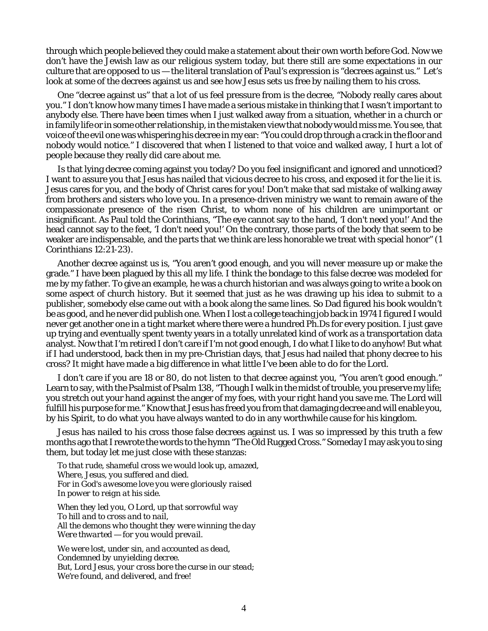through which people believed they could make a statement about their own worth before God. Now we don't have the Jewish law as our religious system today, but there still are some expectations in our culture that are opposed to us — the literal translation of Paul's expression is "decrees against us." Let's look at some of the decrees against us and see how Jesus sets us free by nailing them to his cross.

One "decree against us" that a lot of us feel pressure from is the decree, "Nobody really cares about you." I don't know how many times I have made a serious mistake in thinking that I wasn't important to anybody else. There have been times when I just walked away from a situation, whether in a church or in family life or in some other relationship, in the mistaken view that nobody would miss me. You see, that voice of the evil one was whispering his decree in my ear: "You could drop through a crack in the floor and nobody would notice." I discovered that when I listened to that voice and walked away, I hurt a lot of people because they really did care about me.

Is that lying decree coming against you today? Do you feel insignificant and ignored and unnoticed? I want to assure you that Jesus has nailed that vicious decree to his cross, and exposed it for the lie it is. Jesus cares for you, and the body of Christ cares for you! Don't make that sad mistake of walking away from brothers and sisters who love you. In a presence-driven ministry we want to remain aware of the compassionate presence of the risen Christ, to whom none of his children are unimportant or insignificant. As Paul told the Corinthians, "The eye cannot say to the hand, 'I don't need you!' And the head cannot say to the feet, 'I don't need you!' On the contrary, those parts of the body that seem to be weaker are indispensable, and the parts that we think are less honorable we treat with special honor" (1 Corinthians 12:21-23).

Another decree against us is, "You aren't good enough, and you will never measure up or make the grade." I have been plagued by this all my life. I think the bondage to this false decree was modeled for me by my father. To give an example, he was a church historian and was always going to write a book on some aspect of church history. But it seemed that just as he was drawing up his idea to submit to a publisher, somebody else came out with a book along the same lines. So Dad figured his book wouldn't be as good, and he never did publish one. When I lost a college teaching job back in 1974 I figured I would never get another one in a tight market where there were a hundred Ph.Ds for every position. I just gave up trying and eventually spent twenty years in a totally unrelated kind of work as a transportation data analyst. Now that I'm retired I don't care if I'm not good enough, I do what I like to do anyhow! But what if I had understood, back then in my pre-Christian days, that Jesus had nailed that phony decree to his cross? It might have made a big difference in what little I've been able to do for the Lord.

I don't care if you are 18 or 80, do not listen to that decree against you, "You aren't good enough." Learn to say, with the Psalmist of Psalm 138, "Though I walk in the midst of trouble, you preserve my life; you stretch out your hand against the anger of my foes, with your right hand you save me. The Lord will fulfill his purpose for me." Know that Jesus has freed you from that damaging decree and will enable you, by his Spirit, to do what you have always wanted to do in any worthwhile cause for his kingdom.

Jesus has nailed to his cross those false decrees against us. I was so impressed by this truth a few months ago that I rewrote the words to the hymn "The Old Rugged Cross." Someday I may ask you to sing them, but today let me just close with these stanzas:

*To that rude, shameful cross we would look up, amazed, Where, Jesus, you suffered and died. For in God's awesome love you were gloriously raised In power to reign at his side.*

*When they led you, O Lord, up that sorrowful way To hill and to cross and to nail, All the demons who thought they were winning the day Were thwarted — for you would prevail.*

*We were lost, under sin, and accounted as dead, Condemned by unyielding decree. But, Lord Jesus, your cross bore the curse in our stead; We're found, and delivered, and free!*